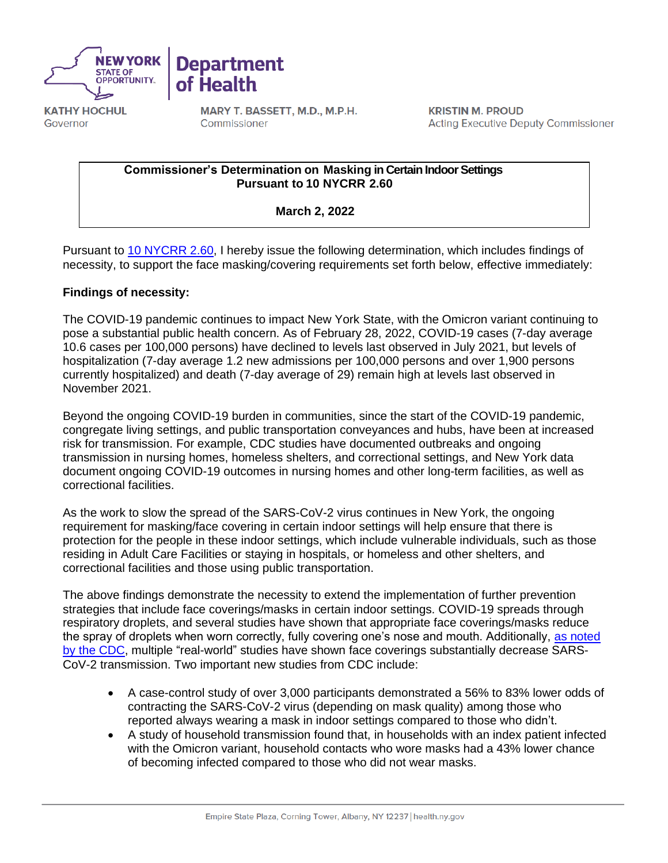

**KATHY HOCHUL** Governor

MARY T. BASSETT, M.D., M.P.H. Commissioner

**Department** 

of Health

**KRISTIN M. PROUD Acting Executive Deputy Commissioner** 

#### **Commissioner's Determination on Masking in Certain Indoor Settings Pursuant to 10 NYCRR 2.60**

**March 2, 2022**

Pursuant to [10 NYCRR 2.60,](https://regs.health.ny.gov/sites/default/files/pdf/emergency_regulations/Face%20Coverings%20for%20COVID-19%20Prevention.pdf) I hereby issue the following determination, which includes findings of necessity, to support the face masking/covering requirements set forth below, effective immediately:

# **Findings of necessity:**

The COVID-19 pandemic continues to impact New York State, with the Omicron variant continuing to pose a substantial public health concern. As of February 28, 2022, COVID-19 cases (7-day average 10.6 cases per 100,000 persons) have declined to levels last observed in July 2021, but levels of hospitalization (7-day average 1.2 new admissions per 100,000 persons and over 1,900 persons currently hospitalized) and death (7-day average of 29) remain high at levels last observed in November 2021.

Beyond the ongoing COVID-19 burden in communities, since the start of the COVID-19 pandemic, congregate living settings, and public transportation conveyances and hubs, have been at increased risk for transmission. For example, CDC studies have documented outbreaks and ongoing transmission in nursing homes, homeless shelters, and correctional settings, and New York data document ongoing COVID-19 outcomes in nursing homes and other long-term facilities, as well as correctional facilities.

As the work to slow the spread of the SARS-CoV-2 virus continues in New York, the ongoing requirement for masking/face covering in certain indoor settings will help ensure that there is protection for the people in these indoor settings, which include vulnerable individuals, such as those residing in Adult Care Facilities or staying in hospitals, or homeless and other shelters, and correctional facilities and those using public transportation.

The above findings demonstrate the necessity to extend the implementation of further prevention strategies that include face coverings/masks in certain indoor settings. COVID-19 spreads through respiratory droplets, and several studies have shown that appropriate face coverings/masks reduce the spray of droplets when worn correctly, fully covering one's nose and mouth. Additionally, [as noted](https://www.cdc.gov/coronavirus/2019-ncov/science/science-briefs/masking-science-sars-cov2.html)  [by the CDC,](https://www.cdc.gov/coronavirus/2019-ncov/science/science-briefs/masking-science-sars-cov2.html) multiple "real-world" studies have shown face coverings substantially decrease SARS-CoV-2 transmission. Two important new studies from CDC include:

- A case-control study of over 3,000 participants demonstrated a 56% to 83% lower odds of contracting the SARS-CoV-2 virus (depending on mask quality) among those who reported always wearing a mask in indoor settings compared to those who didn't.
- A study of household transmission found that, in households with an index patient infected with the Omicron variant, household contacts who wore masks had a 43% lower chance of becoming infected compared to those who did not wear masks.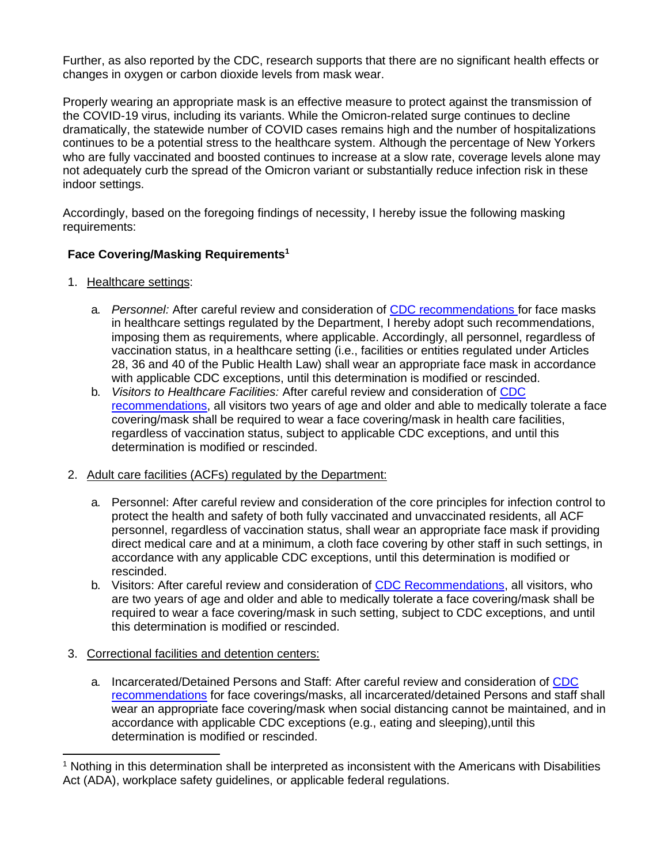Further, as also reported by the CDC, research supports that there are no significant health effects or changes in oxygen or carbon dioxide levels from mask wear.

Properly wearing an appropriate mask is an effective measure to protect against the transmission of the COVID-19 virus, including its variants. While the Omicron-related surge continues to decline dramatically, the statewide number of COVID cases remains high and the number of hospitalizations continues to be a potential stress to the healthcare system. Although the percentage of New Yorkers who are fully vaccinated and boosted continues to increase at a slow rate, coverage levels alone may not adequately curb the spread of the Omicron variant or substantially reduce infection risk in these indoor settings.

Accordingly, based on the foregoing findings of necessity, I hereby issue the following masking requirements:

## **Face Covering/Masking Requirements<sup>1</sup>**

- 1. Healthcare settings:
	- a. *Personnel:* After careful review and consideration of [CDC recommendations f](https://www.cdc.gov/coronavirus/2019-ncov/hcp/infection-control-after-vaccination.html)or face masks in healthcare settings regulated by the Department, I hereby adopt such recommendations, imposing them as requirements, where applicable. Accordingly, all personnel, regardless of vaccination status, in a healthcare setting (i.e., facilities or entities regulated under Articles 28, 36 and 40 of the Public Health Law) shall wear an appropriate face mask in accordance with applicable CDC exceptions, until this determination is modified or rescinded.
	- b. *Visitors to Healthcare Facilities:* After careful review and consideration of [CDC](https://www.cdc.gov/coronavirus/2019-ncov/hcp/infection-control-after-vaccination.html)  [recommendations,](https://www.cdc.gov/coronavirus/2019-ncov/hcp/infection-control-after-vaccination.html) all visitors two years of age and older and able to medically tolerate a face covering/mask shall be required to wear a face covering/mask in health care facilities, regardless of vaccination status, subject to applicable CDC exceptions, and until this determination is modified or rescinded.

### 2. Adult care facilities (ACFs) regulated by the Department:

- a. Personnel: After careful review and consideration of the core principles for infection control to protect the health and safety of both fully vaccinated and unvaccinated residents, all ACF personnel, regardless of vaccination status, shall wear an appropriate face mask if providing direct medical care and at a minimum, a cloth face covering by other staff in such settings, in accordance with any applicable CDC exceptions, until this determination is modified or rescinded.
- b. Visitors: After careful review and consideration of [CDC Recommendations,](https://www.cdc.gov/coronavirus/2019-ncov/prevent-getting-sick/about-face-coverings.html) all visitors, who are two years of age and older and able to medically tolerate a face covering/mask shall be required to wear a face covering/mask in such setting, subject to CDC exceptions, and until this determination is modified or rescinded.

### 3. Correctional facilities and detention centers:

a. Incarcerated/Detained Persons and Staff: After careful review and consideration of [CDC](https://www.cdc.gov/coronavirus/2019-ncov/community/correction-detention/guidance-correctional-detention.html)  [recommendations](https://www.cdc.gov/coronavirus/2019-ncov/community/correction-detention/guidance-correctional-detention.html) for face coverings/masks, all incarcerated/detained Persons and staff shall wear an appropriate face covering/mask when social distancing cannot be maintained, and in accordance with applicable CDC exceptions (e.g., eating and sleeping),until this determination is modified or rescinded.

<sup>1</sup> Nothing in this determination shall be interpreted as inconsistent with the Americans with Disabilities Act (ADA), workplace safety guidelines, or applicable federal regulations.